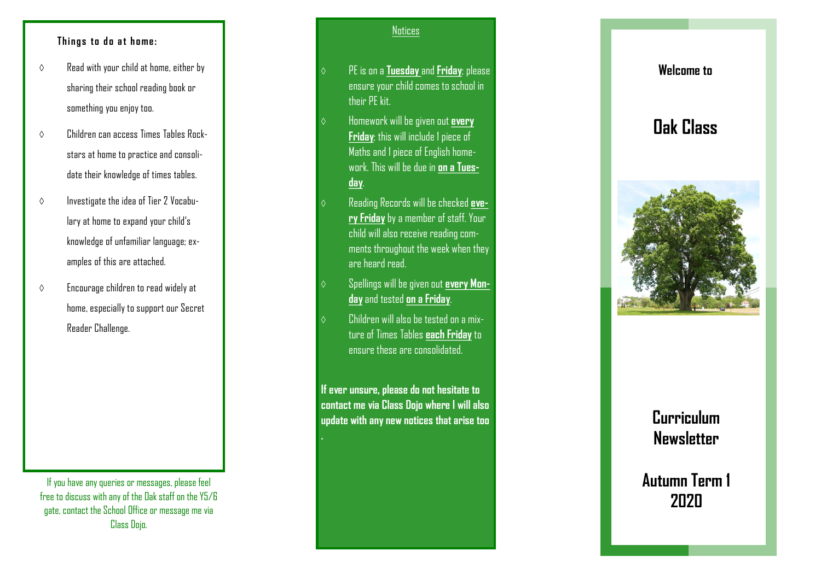#### **Things to do at home:**

- $\diamond$  Read with your child at home, either by sharing their school reading book or something you enjoy too.
- $\Diamond$  Children can access Times Tables Rockstars at home to practice and consolidate their knowledge of times tables.
- $\diamond$  Investigate the idea of Tier 2 Vocabulary at home to expand your child's knowledge of unfamiliar language; examples of this are attached.
- $\Diamond$  Encourage children to read widely at home, especially to support our Secret Reader Challenge.

If you have any queries or messages, please feel free to discuss with any of the Oak staff on the Y5/6 gate, contact the School Office or message me via Class Dojo.

#### **Notices**

- PE is on a **Tuesday** and **Friday**; please ensure your child comes to school in their PE kit.
- Homework will be given out **every Friday**; this will include 1 piece of Maths and 1 piece of English homework. This will be due in **on a Tuesday**.
- Reading Records will be checked **every Friday**by a member of staff. Your child will also receive reading comments throughout the week when they are heard read.
- Spellings will be given out **every Monday**and tested **on a Friday**.
- Children will also be tested on a mixture of Times Tables **each Friday**to ensure these are consolidated.

**If ever unsure, please do not hesitate to contact me via Class Dojo where I will also update with any new notices that arise too .**

## **Welcome to**

# **Oak Class**



# **Curriculum Newsletter**

**Autumn Term 1 2020**